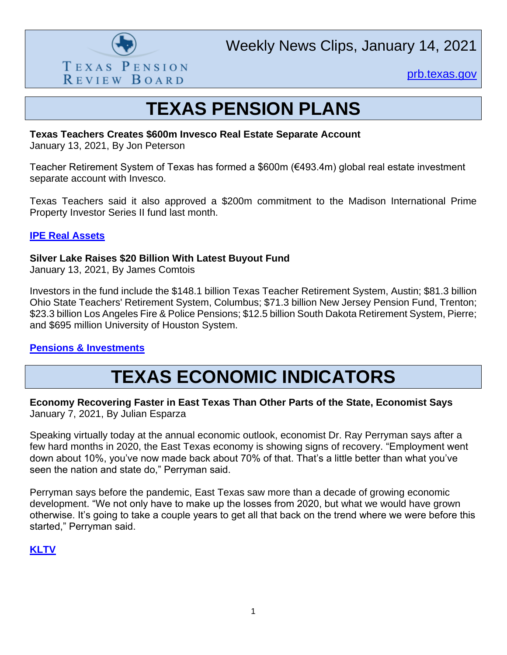

Weekly News Clips, January 14, 2021

[prb.texas.gov](http://www.prb.texas.gov/)

# **TEXAS PENSION PLANS**

## **Texas Teachers Creates \$600m Invesco Real Estate Separate Account**

January 13, 2021, By Jon Peterson

Teacher Retirement System of Texas has formed a \$600m (€493.4m) global real estate investment separate account with Invesco.

Texas Teachers said it also approved a \$200m commitment to the Madison International Prime Property Investor Series II fund last month.

#### **[IPE Real Assets](https://realassets.ipe.com/news/texas-teachers-creates-600m-invesco-real-estate-separate-account/10050025.article)**

#### **Silver Lake Raises \$20 Billion With Latest Buyout Fund**

January 13, 2021, By James Comtois

Investors in the fund include the \$148.1 billion Texas Teacher Retirement System, Austin; \$81.3 billion Ohio State Teachers' Retirement System, Columbus; \$71.3 billion New Jersey Pension Fund, Trenton; \$23.3 billion Los Angeles Fire & Police Pensions; \$12.5 billion South Dakota Retirement System, Pierre; and \$695 million University of Houston System.

## **[Pensions & Investments](https://www.pionline.com/investing/silver-lake-raises-20-billion-latest-buyout-fund)**

## **TEXAS ECONOMIC INDICATORS**

## **Economy Recovering Faster in East Texas Than Other Parts of the State, Economist Says** January 7, 2021, By Julian Esparza

Speaking virtually today at the annual economic outlook, economist Dr. Ray Perryman says after a few hard months in 2020, the East Texas economy is showing signs of recovery. "Employment went down about 10%, you've now made back about 70% of that. That's a little better than what you've seen the nation and state do," Perryman said.

Perryman says before the pandemic, East Texas saw more than a decade of growing economic development. "We not only have to make up the losses from 2020, but what we would have grown otherwise. It's going to take a couple years to get all that back on the trend where we were before this started," Perryman said.

## **[KLTV](https://www.kltv.com/2021/01/07/economy-recovering-faster-east-texas-than-other-parts-state-economist-says/)**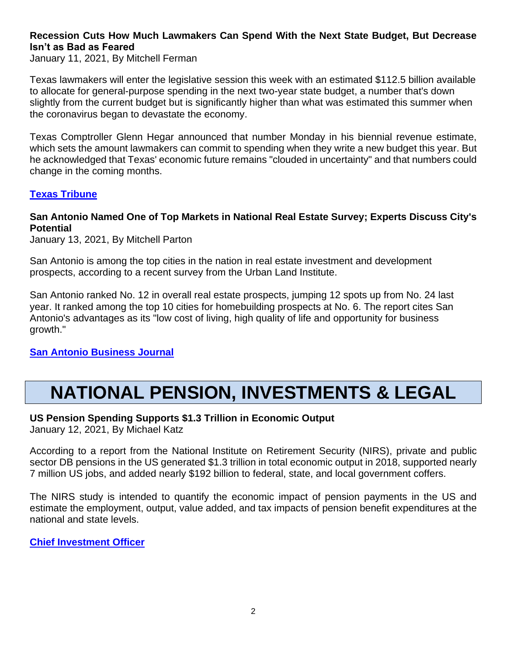## **Recession Cuts How Much Lawmakers Can Spend With the Next State Budget, But Decrease Isn't as Bad as Feared**

January 11, 2021, By Mitchell Ferman

Texas lawmakers will enter the legislative session this week with an estimated \$112.5 billion available to allocate for general-purpose spending in the next two-year state budget, a number that's down slightly from the current budget but is significantly higher than what was estimated this summer when the coronavirus began to devastate the economy.

Texas Comptroller Glenn Hegar announced that number Monday in his biennial revenue estimate, which sets the amount lawmakers can commit to spending when they write a new budget this year. But he acknowledged that Texas' economic future remains "clouded in uncertainty" and that numbers could change in the coming months.

## **[Texas Tribune](https://www.texastribune.org/2021/01/11/texas-legislature-state-budget/)**

#### **San Antonio Named One of Top Markets in National Real Estate Survey; Experts Discuss City's Potential**

January 13, 2021, By Mitchell Parton

San Antonio is among the top cities in the nation in real estate investment and development prospects, according to a recent survey from the Urban Land Institute.

San Antonio ranked No. 12 in overall real estate prospects, jumping 12 spots up from No. 24 last year. It ranked among the top 10 cities for homebuilding prospects at No. 6. The report cites San Antonio's advantages as its "low cost of living, high quality of life and opportunity for business growth."

## **[San Antonio Business Journal](https://www.bizjournals.com/sanantonio/news/2021/01/13/san-antonio-named-one-of-top-markets.html)**

# **NATIONAL PENSION, INVESTMENTS & LEGAL**

## **US Pension Spending Supports \$1.3 Trillion in Economic Output**

January 12, 2021, By Michael Katz

According to a report from the National Institute on Retirement Security (NIRS), private and public sector DB pensions in the US generated \$1.3 trillion in total economic output in 2018, supported nearly 7 million US jobs, and added nearly \$192 billion to federal, state, and local government coffers.

The NIRS study is intended to quantify the economic impact of pension payments in the US and estimate the employment, output, value added, and tax impacts of pension benefit expenditures at the national and state levels.

## **[Chief Investment Officer](https://www.ai-cio.com/news/us-pension-spending-supports-1-3-trillion-economic-output/)**